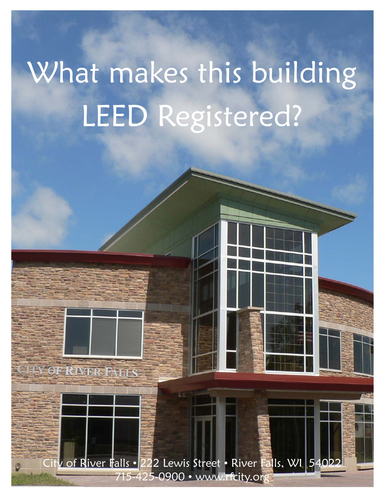# What makes this building LEED Registered?

v of River Falls • 222 Lewis Street • River Falls, WI 54022 715-425-0900 • www.rfcity.org

OF RIVER FALLS